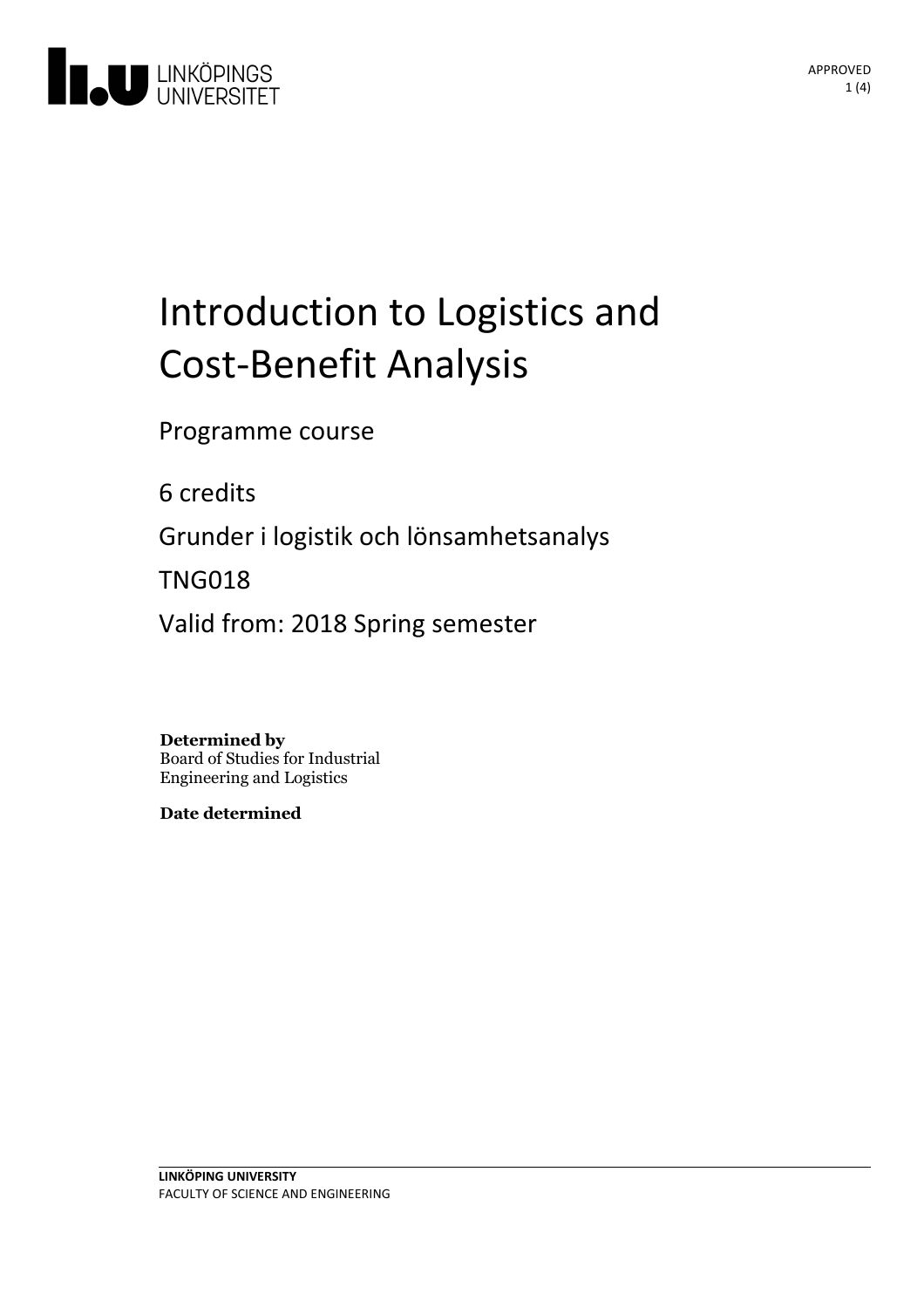

# Introduction to Logistics and Cost-Benefit Analysis

Programme course

6 credits

Grunder i logistik och lönsamhetsanalys

TNG018

Valid from: 2018 Spring semester

**Determined by**

Board of Studies for Industrial Engineering and Logistics

**Date determined**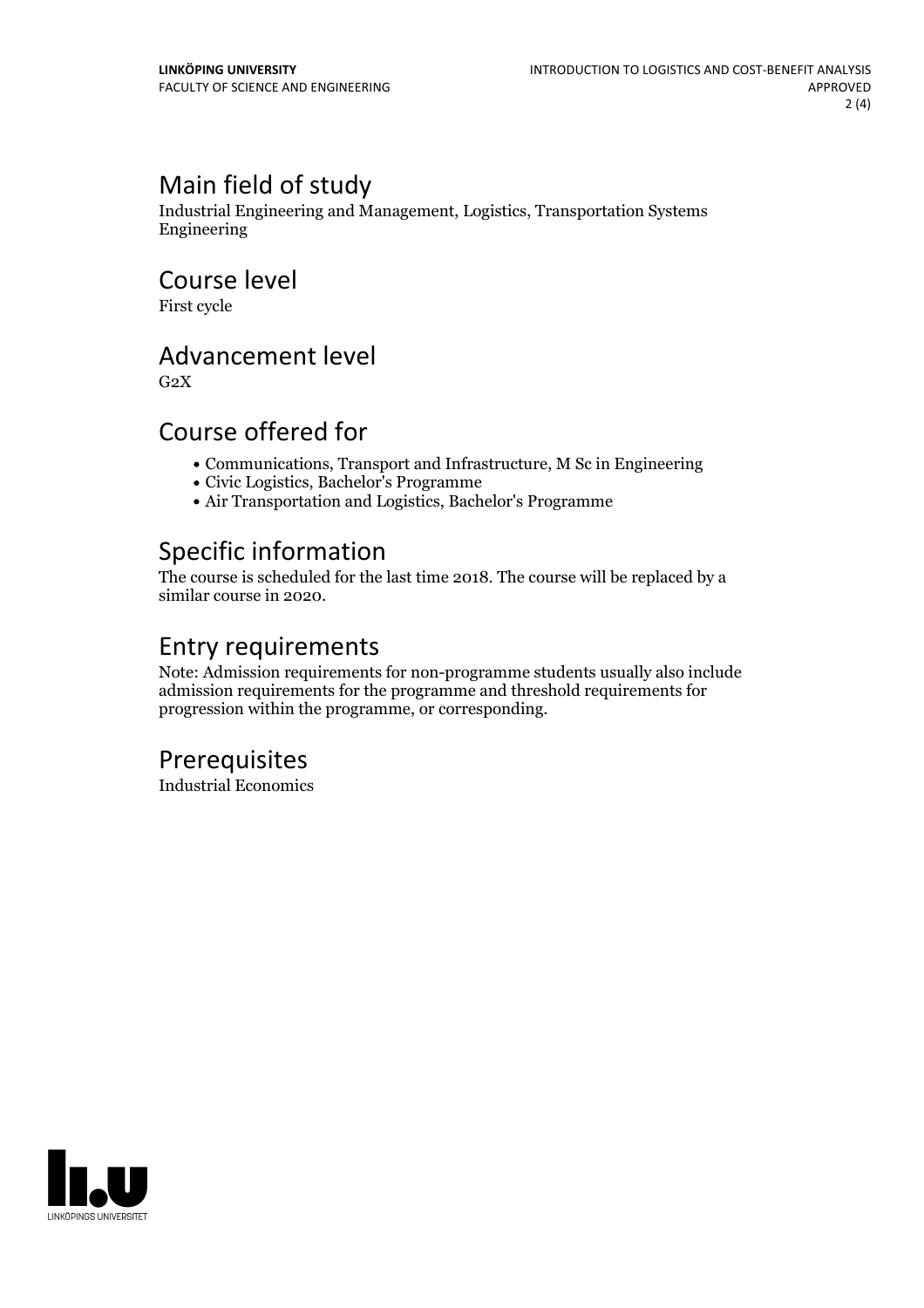## Main field of study

Industrial Engineering and Management, Logistics, Transportation Systems Engineering

Course level

First cycle

#### Advancement level

 $G<sub>2</sub>X$ 

#### Course offered for

- Communications, Transport and Infrastructure, M Sc in Engineering
- Civic Logistics, Bachelor's Programme
- Air Transportation and Logistics, Bachelor's Programme

#### Specific information

The course is scheduled for the last time 2018. The course will be replaced by a similar course in 2020.

### Entry requirements

Note: Admission requirements for non-programme students usually also include admission requirements for the programme and threshold requirements for progression within the programme, or corresponding.

#### Prerequisites

Industrial Economics

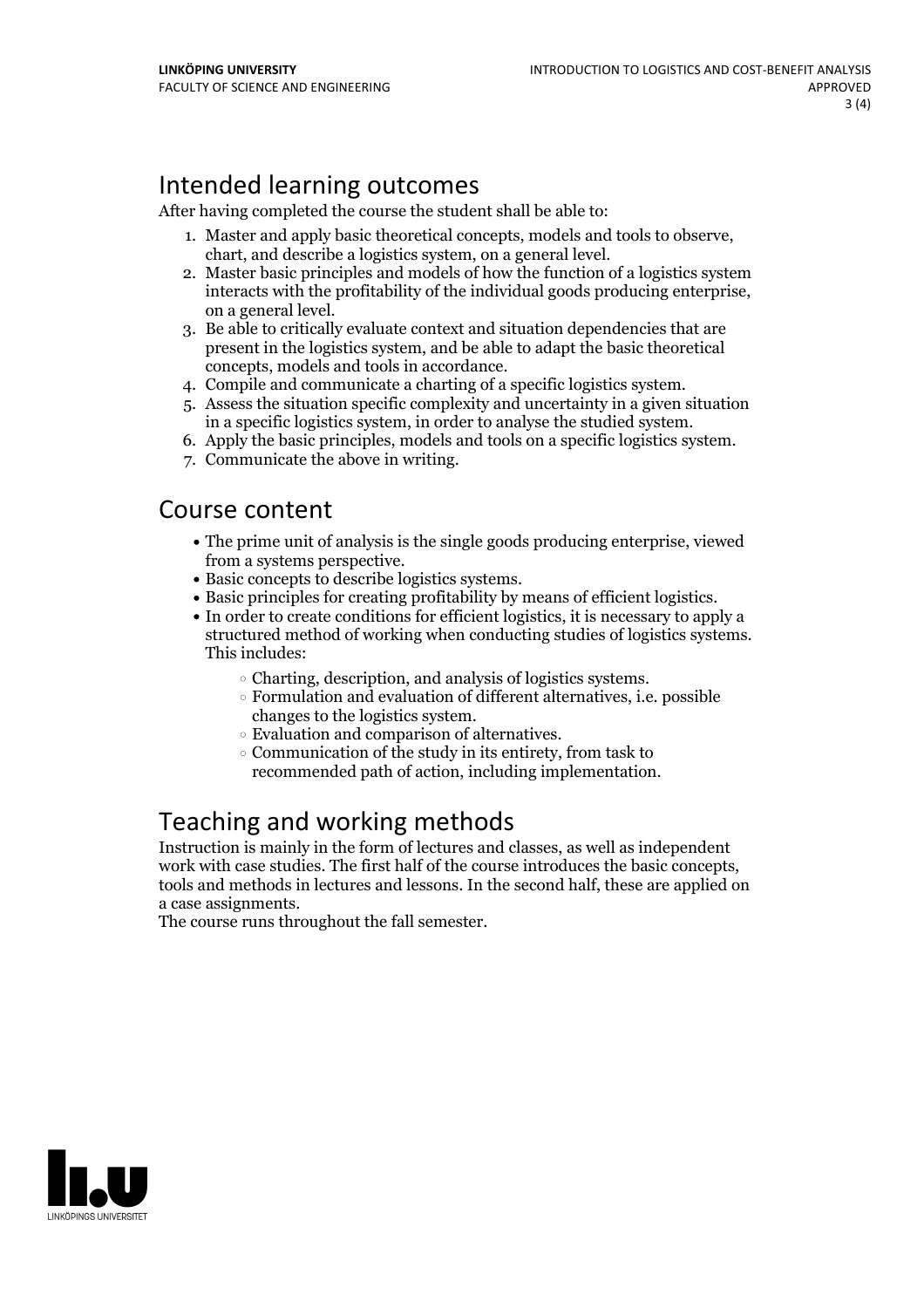# Intended learning outcomes

After having completed the course the student shall be able to:

- 1. Master and apply basic theoretical concepts, models and tools to observe, chart, and describe <sup>a</sup> logistics system, on <sup>a</sup> general level. 2. Master basic principles and models of how the function of <sup>a</sup> logistics system
- interacts with the profitability of the individual goods producing enterprise, on <sup>a</sup> general level. 3. Be able to critically evaluate context and situation dependencies that are
- present in the logistics system, and be able to adapt the basic theoretical
- 
- concepts, models and tools in accordance. 4. Compile and communicate <sup>a</sup> charting of <sup>a</sup> specific logistics system. 5. Assess the situation specific complexity and uncertainty in <sup>a</sup> given situation
- in <sup>a</sup> specific logistics system, in order to analyse the studied system. 6. Apply the basic principles, models and tools on <sup>a</sup> specific logistics system. 7. Communicate the above in writing.
- 

#### Course content

- The prime unit of analysis is the single goods producing enterprise, viewed
- 
- Basic concepts to describe logistics systems.<br>• Basic principles for creating profitability by means of efficient logistics.<br>• In order to create conditions for efficient logistics, it is necessary to apply a
- structured method of working when conducting studies of logistics systems. This includes:
	-
	- $\circ$  Charting, description, and analysis of logistics systems.<br> $\circ$  Formulation and evaluation of different alternatives, i.e. possible changes to the logistics system.<br>  $\circ$  Evaluation and comparison of alternatives.<br>  $\circ$  Communication of the study in its entirety, from task to
	-
	- recommended path of action, including implementation.

#### Teaching and working methods

Instruction is mainly in the form of lectures and classes, as well as independent work with case studies. The first half of the course introduces the basic concepts, tools and methods in lectures and lessons. In the second half, these are applied on a case assignments.

The course runs throughout the fall semester.